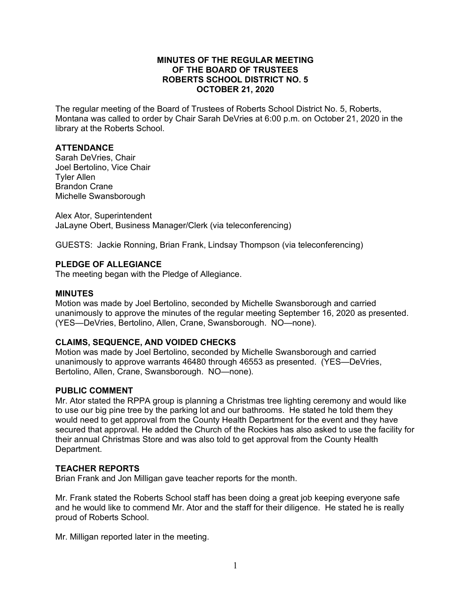### **MINUTES OF THE REGULAR MEETING OF THE BOARD OF TRUSTEES ROBERTS SCHOOL DISTRICT NO. 5 OCTOBER 21, 2020**

The regular meeting of the Board of Trustees of Roberts School District No. 5, Roberts, Montana was called to order by Chair Sarah DeVries at 6:00 p.m. on October 21, 2020 in the library at the Roberts School.

## **ATTENDANCE**

Sarah DeVries, Chair Joel Bertolino, Vice Chair Tyler Allen Brandon Crane Michelle Swansborough

Alex Ator, Superintendent JaLayne Obert, Business Manager/Clerk (via teleconferencing)

GUESTS: Jackie Ronning, Brian Frank, Lindsay Thompson (via teleconferencing)

### **PLEDGE OF ALLEGIANCE**

The meeting began with the Pledge of Allegiance.

#### **MINUTES**

Motion was made by Joel Bertolino, seconded by Michelle Swansborough and carried unanimously to approve the minutes of the regular meeting September 16, 2020 as presented. (YES—DeVries, Bertolino, Allen, Crane, Swansborough. NO—none).

# **CLAIMS, SEQUENCE, AND VOIDED CHECKS**

Motion was made by Joel Bertolino, seconded by Michelle Swansborough and carried unanimously to approve warrants 46480 through 46553 as presented. (YES—DeVries, Bertolino, Allen, Crane, Swansborough. NO—none).

#### **PUBLIC COMMENT**

Mr. Ator stated the RPPA group is planning a Christmas tree lighting ceremony and would like to use our big pine tree by the parking lot and our bathrooms. He stated he told them they would need to get approval from the County Health Department for the event and they have secured that approval. He added the Church of the Rockies has also asked to use the facility for their annual Christmas Store and was also told to get approval from the County Health Department.

#### **TEACHER REPORTS**

Brian Frank and Jon Milligan gave teacher reports for the month.

Mr. Frank stated the Roberts School staff has been doing a great job keeping everyone safe and he would like to commend Mr. Ator and the staff for their diligence. He stated he is really proud of Roberts School.

Mr. Milligan reported later in the meeting.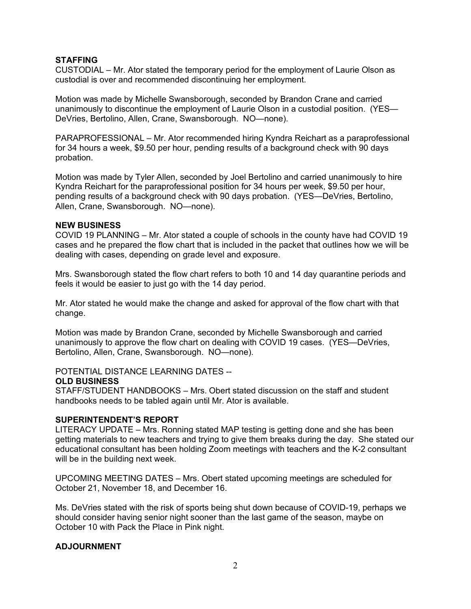# **STAFFING**

CUSTODIAL – Mr. Ator stated the temporary period for the employment of Laurie Olson as custodial is over and recommended discontinuing her employment.

Motion was made by Michelle Swansborough, seconded by Brandon Crane and carried unanimously to discontinue the employment of Laurie Olson in a custodial position. (YES— DeVries, Bertolino, Allen, Crane, Swansborough. NO—none).

PARAPROFESSIONAL – Mr. Ator recommended hiring Kyndra Reichart as a paraprofessional for 34 hours a week, \$9.50 per hour, pending results of a background check with 90 days probation.

Motion was made by Tyler Allen, seconded by Joel Bertolino and carried unanimously to hire Kyndra Reichart for the paraprofessional position for 34 hours per week, \$9.50 per hour, pending results of a background check with 90 days probation. (YES—DeVries, Bertolino, Allen, Crane, Swansborough. NO—none).

#### **NEW BUSINESS**

COVID 19 PLANNING – Mr. Ator stated a couple of schools in the county have had COVID 19 cases and he prepared the flow chart that is included in the packet that outlines how we will be dealing with cases, depending on grade level and exposure.

Mrs. Swansborough stated the flow chart refers to both 10 and 14 day quarantine periods and feels it would be easier to just go with the 14 day period.

Mr. Ator stated he would make the change and asked for approval of the flow chart with that change.

Motion was made by Brandon Crane, seconded by Michelle Swansborough and carried unanimously to approve the flow chart on dealing with COVID 19 cases. (YES—DeVries, Bertolino, Allen, Crane, Swansborough. NO—none).

POTENTIAL DISTANCE LEARNING DATES --

#### **OLD BUSINESS**

STAFF/STUDENT HANDBOOKS – Mrs. Obert stated discussion on the staff and student handbooks needs to be tabled again until Mr. Ator is available.

#### **SUPERINTENDENT'S REPORT**

LITERACY UPDATE – Mrs. Ronning stated MAP testing is getting done and she has been getting materials to new teachers and trying to give them breaks during the day. She stated our educational consultant has been holding Zoom meetings with teachers and the K-2 consultant will be in the building next week.

UPCOMING MEETING DATES – Mrs. Obert stated upcoming meetings are scheduled for October 21, November 18, and December 16.

Ms. DeVries stated with the risk of sports being shut down because of COVID-19, perhaps we should consider having senior night sooner than the last game of the season, maybe on October 10 with Pack the Place in Pink night.

# **ADJOURNMENT**